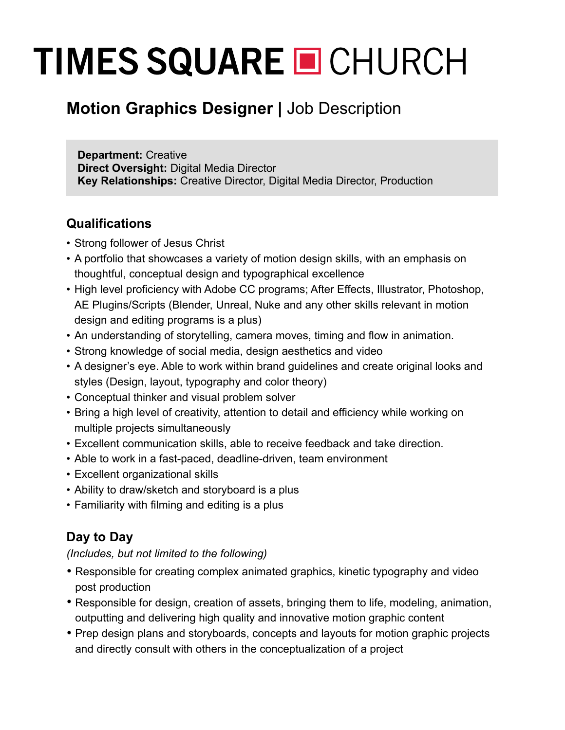# **TIMES SQUARE O CHURCH**

# **Motion Graphics Designer |** Job Description

**Department:** Creative **Direct Oversight:** Digital Media Director **Key Relationships:** Creative Director, Digital Media Director, Production

#### **Qualifications**

- Strong follower of Jesus Christ
- A portfolio that showcases a variety of motion design skills, with an emphasis on thoughtful, conceptual design and typographical excellence
- High level proficiency with Adobe CC programs; After Effects, Illustrator, Photoshop, AE Plugins/Scripts (Blender, Unreal, Nuke and any other skills relevant in motion design and editing programs is a plus)
- An understanding of storytelling, camera moves, timing and flow in animation.
- Strong knowledge of social media, design aesthetics and video
- A designer's eye. Able to work within brand guidelines and create original looks and styles (Design, layout, typography and color theory)
- Conceptual thinker and visual problem solver
- Bring a high level of creativity, attention to detail and efficiency while working on multiple projects simultaneously
- Excellent communication skills, able to receive feedback and take direction.
- Able to work in a fast-paced, deadline-driven, team environment
- Excellent organizational skills
- Ability to draw/sketch and storyboard is a plus
- Familiarity with filming and editing is a plus

## **Day to Day**

*(Includes, but not limited to the following)*

- Responsible for creating complex animated graphics, kinetic typography and video post production
- Responsible for design, creation of assets, bringing them to life, modeling, animation, outputting and delivering high quality and innovative motion graphic content
- Prep design plans and storyboards, concepts and layouts for motion graphic projects and directly consult with others in the conceptualization of a project